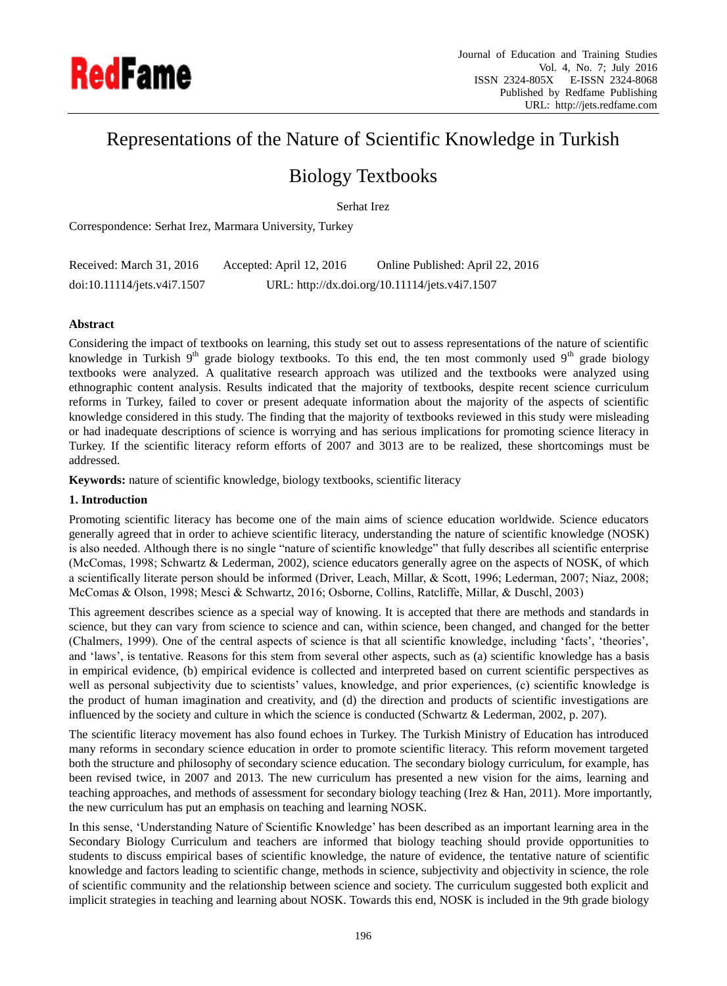

# Representations of the Nature of Scientific Knowledge in Turkish

# Biology Textbooks

Serhat Irez

Correspondence: Serhat Irez, Marmara University, Turkey

| Received: March 31, 2016    | Accepted: April 12, 2016 | Online Published: April 22, 2016               |
|-----------------------------|--------------------------|------------------------------------------------|
| doi:10.11114/jets.v4i7.1507 |                          | URL: http://dx.doi.org/10.11114/jets.v4i7.1507 |

# **Abstract**

Considering the impact of textbooks on learning, this study set out to assess representations of the nature of scientific knowledge in Turkish 9<sup>th</sup> grade biology textbooks. To this end, the ten most commonly used 9<sup>th</sup> grade biology textbooks were analyzed. A qualitative research approach was utilized and the textbooks were analyzed using ethnographic content analysis. Results indicated that the majority of textbooks, despite recent science curriculum reforms in Turkey, failed to cover or present adequate information about the majority of the aspects of scientific knowledge considered in this study. The finding that the majority of textbooks reviewed in this study were misleading or had inadequate descriptions of science is worrying and has serious implications for promoting science literacy in Turkey. If the scientific literacy reform efforts of 2007 and 3013 are to be realized, these shortcomings must be addressed.

**Keywords:** nature of scientific knowledge, biology textbooks, scientific literacy

# **1. Introduction**

Promoting scientific literacy has become one of the main aims of science education worldwide. Science educators generally agreed that in order to achieve scientific literacy, understanding the nature of scientific knowledge (NOSK) is also needed. Although there is no single "nature of scientific knowledge" that fully describes all scientific enterprise (McComas, 1998; Schwartz & Lederman, 2002), science educators generally agree on the aspects of NOSK, of which a scientifically literate person should be informed (Driver, Leach, Millar, & Scott, 1996; Lederman, 2007; Niaz, 2008; McComas & Olson, 1998; Mesci & Schwartz, 2016; Osborne, Collins, Ratcliffe, Millar, & Duschl, 2003)

This agreement describes science as a special way of knowing. It is accepted that there are methods and standards in science, but they can vary from science to science and can, within science, been changed, and changed for the better (Chalmers, 1999). One of the central aspects of science is that all scientific knowledge, including 'facts', 'theories', and 'laws', is tentative. Reasons for this stem from several other aspects, such as (a) scientific knowledge has a basis in empirical evidence, (b) empirical evidence is collected and interpreted based on current scientific perspectives as well as personal subjectivity due to scientists' values, knowledge, and prior experiences, (c) scientific knowledge is the product of human imagination and creativity, and (d) the direction and products of scientific investigations are influenced by the society and culture in which the science is conducted (Schwartz & Lederman, 2002, p. 207).

The scientific literacy movement has also found echoes in Turkey. The Turkish Ministry of Education has introduced many reforms in secondary science education in order to promote scientific literacy. This reform movement targeted both the structure and philosophy of secondary science education. The secondary biology curriculum, for example, has been revised twice, in 2007 and 2013. The new curriculum has presented a new vision for the aims, learning and teaching approaches, and methods of assessment for secondary biology teaching (Irez & Han, 2011). More importantly, the new curriculum has put an emphasis on teaching and learning NOSK.

In this sense, 'Understanding Nature of Scientific Knowledge' has been described as an important learning area in the Secondary Biology Curriculum and teachers are informed that biology teaching should provide opportunities to students to discuss empirical bases of scientific knowledge, the nature of evidence, the tentative nature of scientific knowledge and factors leading to scientific change, methods in science, subjectivity and objectivity in science, the role of scientific community and the relationship between science and society. The curriculum suggested both explicit and implicit strategies in teaching and learning about NOSK. Towards this end, NOSK is included in the 9th grade biology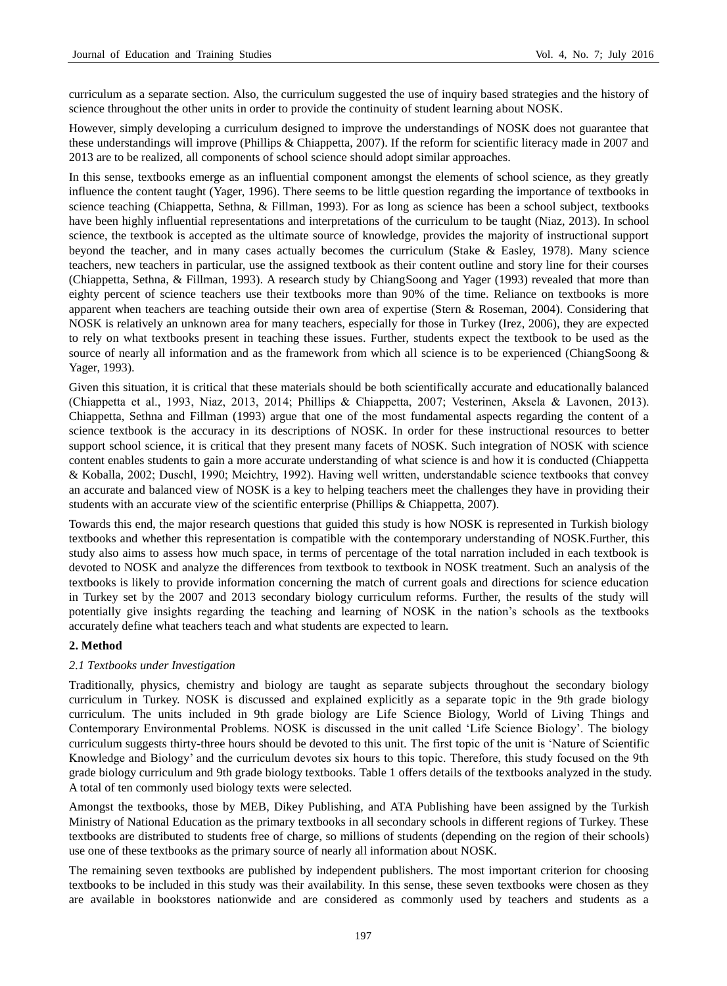curriculum as a separate section. Also, the curriculum suggested the use of inquiry based strategies and the history of science throughout the other units in order to provide the continuity of student learning about NOSK.

However, simply developing a curriculum designed to improve the understandings of NOSK does not guarantee that these understandings will improve (Phillips & Chiappetta, 2007). If the reform for scientific literacy made in 2007 and 2013 are to be realized, all components of school science should adopt similar approaches.

In this sense, textbooks emerge as an influential component amongst the elements of school science, as they greatly influence the content taught (Yager, 1996). There seems to be little question regarding the importance of textbooks in science teaching (Chiappetta, Sethna, & Fillman, 1993). For as long as science has been a school subject, textbooks have been highly influential representations and interpretations of the curriculum to be taught (Niaz, 2013). In school science, the textbook is accepted as the ultimate source of knowledge, provides the majority of instructional support beyond the teacher, and in many cases actually becomes the curriculum (Stake & Easley, 1978). Many science teachers, new teachers in particular, use the assigned textbook as their content outline and story line for their courses (Chiappetta, Sethna, & Fillman, 1993). A research study by ChiangSoong and Yager (1993) revealed that more than eighty percent of science teachers use their textbooks more than 90% of the time. Reliance on textbooks is more apparent when teachers are teaching outside their own area of expertise (Stern & Roseman, 2004). Considering that NOSK is relatively an unknown area for many teachers, especially for those in Turkey (Irez, 2006), they are expected to rely on what textbooks present in teaching these issues. Further, students expect the textbook to be used as the source of nearly all information and as the framework from which all science is to be experienced (ChiangSoong & Yager, 1993).

Given this situation, it is critical that these materials should be both scientifically accurate and educationally balanced (Chiappetta et al., 1993, Niaz, 2013, 2014; Phillips & Chiappetta, 2007; Vesterinen, Aksela & Lavonen, 2013). Chiappetta, Sethna and Fillman (1993) argue that one of the most fundamental aspects regarding the content of a science textbook is the accuracy in its descriptions of NOSK. In order for these instructional resources to better support school science, it is critical that they present many facets of NOSK. Such integration of NOSK with science content enables students to gain a more accurate understanding of what science is and how it is conducted (Chiappetta & Koballa, 2002; Duschl, 1990; Meichtry, 1992). Having well written, understandable science textbooks that convey an accurate and balanced view of NOSK is a key to helping teachers meet the challenges they have in providing their students with an accurate view of the scientific enterprise (Phillips & Chiappetta, 2007).

Towards this end, the major research questions that guided this study is how NOSK is represented in Turkish biology textbooks and whether this representation is compatible with the contemporary understanding of NOSK.Further, this study also aims to assess how much space, in terms of percentage of the total narration included in each textbook is devoted to NOSK and analyze the differences from textbook to textbook in NOSK treatment. Such an analysis of the textbooks is likely to provide information concerning the match of current goals and directions for science education in Turkey set by the 2007 and 2013 secondary biology curriculum reforms. Further, the results of the study will potentially give insights regarding the teaching and learning of NOSK in the nation's schools as the textbooks accurately define what teachers teach and what students are expected to learn.

# **2. Method**

# *2.1 Textbooks under Investigation*

Traditionally, physics, chemistry and biology are taught as separate subjects throughout the secondary biology curriculum in Turkey. NOSK is discussed and explained explicitly as a separate topic in the 9th grade biology curriculum. The units included in 9th grade biology are Life Science Biology, World of Living Things and Contemporary Environmental Problems. NOSK is discussed in the unit called 'Life Science Biology'. The biology curriculum suggests thirty-three hours should be devoted to this unit. The first topic of the unit is 'Nature of Scientific Knowledge and Biology' and the curriculum devotes six hours to this topic. Therefore, this study focused on the 9th grade biology curriculum and 9th grade biology textbooks. Table 1 offers details of the textbooks analyzed in the study. A total of ten commonly used biology texts were selected.

Amongst the textbooks, those by MEB, Dikey Publishing, and ATA Publishing have been assigned by the Turkish Ministry of National Education as the primary textbooks in all secondary schools in different regions of Turkey. These textbooks are distributed to students free of charge, so millions of students (depending on the region of their schools) use one of these textbooks as the primary source of nearly all information about NOSK.

The remaining seven textbooks are published by independent publishers. The most important criterion for choosing textbooks to be included in this study was their availability. In this sense, these seven textbooks were chosen as they are available in bookstores nationwide and are considered as commonly used by teachers and students as a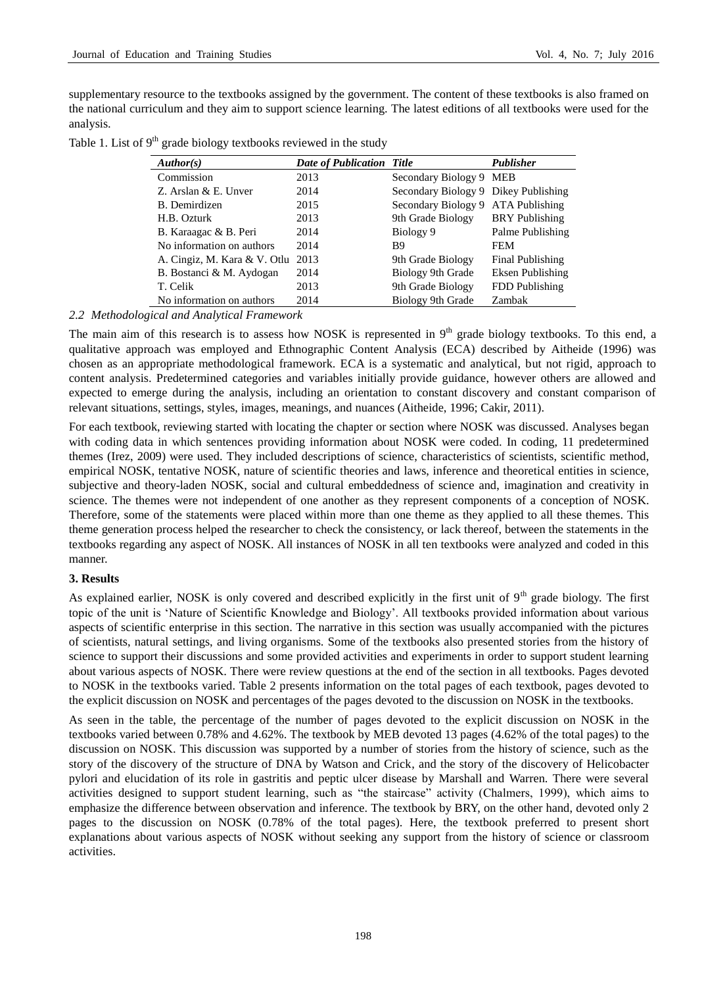supplementary resource to the textbooks assigned by the government. The content of these textbooks is also framed on the national curriculum and they aim to support science learning. The latest editions of all textbooks were used for the analysis.

| Table 1. List of $9th$ grade biology textbooks reviewed in the study |  |  |  |  |  |  |  |  |  |
|----------------------------------------------------------------------|--|--|--|--|--|--|--|--|--|
|----------------------------------------------------------------------|--|--|--|--|--|--|--|--|--|

| Author(s)                    | <b>Date of Publication Title</b> |                                      | Publisher             |
|------------------------------|----------------------------------|--------------------------------------|-----------------------|
| Commission                   | 2013                             | Secondary Biology 9 MEB              |                       |
| Z. Arslan & E. Unver         | 2014                             | Secondary Biology 9 Dikey Publishing |                       |
| B. Demirdizen                | 2015                             | Secondary Biology 9 ATA Publishing   |                       |
| H.B. Ozturk                  | 2013                             | 9th Grade Biology                    | <b>BRY</b> Publishing |
| B. Karaagac & B. Peri        | 2014                             | Biology 9                            | Palme Publishing      |
| No information on authors    | 2014                             | B <sub>9</sub>                       | <b>FEM</b>            |
| A. Cingiz, M. Kara & V. Otlu | 2013                             | 9th Grade Biology                    | Final Publishing      |
| B. Bostanci & M. Aydogan     | 2014                             | Biology 9th Grade                    | Eksen Publishing      |
| T. Celik                     | 2013                             | 9th Grade Biology                    | FDD Publishing        |
| No information on authors    | 2014                             | Biology 9th Grade                    | Zambak                |

*2.2 Methodological and Analytical Framework* 

The main aim of this research is to assess how NOSK is represented in  $9<sup>th</sup>$  grade biology textbooks. To this end, a qualitative approach was employed and Ethnographic Content Analysis (ECA) described by Aitheide (1996) was chosen as an appropriate methodological framework. ECA is a systematic and analytical, but not rigid, approach to content analysis. Predetermined categories and variables initially provide guidance, however others are allowed and expected to emerge during the analysis, including an orientation to constant discovery and constant comparison of relevant situations, settings, styles, images, meanings, and nuances (Aitheide, 1996; Cakir, 2011).

For each textbook, reviewing started with locating the chapter or section where NOSK was discussed. Analyses began with coding data in which sentences providing information about NOSK were coded. In coding, 11 predetermined themes (Irez, 2009) were used. They included descriptions of science, characteristics of scientists, scientific method, empirical NOSK, tentative NOSK, nature of scientific theories and laws, inference and theoretical entities in science, subjective and theory-laden NOSK, social and cultural embeddedness of science and, imagination and creativity in science. The themes were not independent of one another as they represent components of a conception of NOSK. Therefore, some of the statements were placed within more than one theme as they applied to all these themes. This theme generation process helped the researcher to check the consistency, or lack thereof, between the statements in the textbooks regarding any aspect of NOSK. All instances of NOSK in all ten textbooks were analyzed and coded in this manner.

# **3. Results**

As explained earlier, NOSK is only covered and described explicitly in the first unit of  $9<sup>th</sup>$  grade biology. The first topic of the unit is 'Nature of Scientific Knowledge and Biology'. All textbooks provided information about various aspects of scientific enterprise in this section. The narrative in this section was usually accompanied with the pictures of scientists, natural settings, and living organisms. Some of the textbooks also presented stories from the history of science to support their discussions and some provided activities and experiments in order to support student learning about various aspects of NOSK. There were review questions at the end of the section in all textbooks. Pages devoted to NOSK in the textbooks varied. Table 2 presents information on the total pages of each textbook, pages devoted to the explicit discussion on NOSK and percentages of the pages devoted to the discussion on NOSK in the textbooks.

As seen in the table, the percentage of the number of pages devoted to the explicit discussion on NOSK in the textbooks varied between 0.78% and 4.62%. The textbook by MEB devoted 13 pages (4.62% of the total pages) to the discussion on NOSK. This discussion was supported by a number of stories from the history of science, such as the story of the discovery of the structure of DNA by Watson and Crick, and the story of the discovery of Helicobacter pylori and elucidation of its role in gastritis and peptic ulcer disease by Marshall and Warren. There were several activities designed to support student learning, such as "the staircase" activity (Chalmers, 1999), which aims to emphasize the difference between observation and inference. The textbook by BRY, on the other hand, devoted only 2 pages to the discussion on NOSK (0.78% of the total pages). Here, the textbook preferred to present short explanations about various aspects of NOSK without seeking any support from the history of science or classroom activities.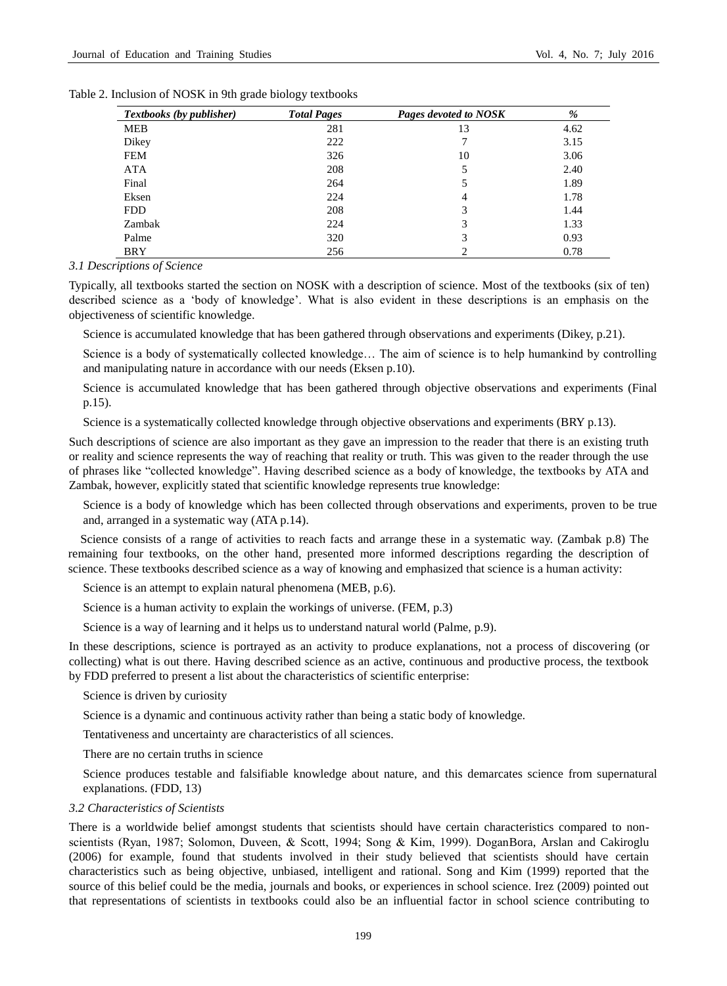| <b>Textbooks</b> (by publisher) | <b>Total Pages</b> | Pages devoted to NOSK | %    |
|---------------------------------|--------------------|-----------------------|------|
| <b>MEB</b>                      | 281                | 13                    | 4.62 |
| Dikey                           | 222                | 7                     | 3.15 |
| <b>FEM</b>                      | 326                | 10                    | 3.06 |
| <b>ATA</b>                      | 208                | 5                     | 2.40 |
| Final                           | 264                | 5                     | 1.89 |
| Eksen                           | 224                | 4                     | 1.78 |
| <b>FDD</b>                      | 208                | 3                     | 1.44 |
| Zambak                          | 224                | 3                     | 1.33 |
| Palme                           | 320                | 3                     | 0.93 |
| <b>BRY</b>                      | 256                | ↑                     | 0.78 |

| Table 2. Inclusion of NOSK in 9th grade biology textbooks |  |
|-----------------------------------------------------------|--|
|-----------------------------------------------------------|--|

*3.1 Descriptions of Science* 

Typically, all textbooks started the section on NOSK with a description of science. Most of the textbooks (six of ten) described science as a 'body of knowledge'. What is also evident in these descriptions is an emphasis on the objectiveness of scientific knowledge.

Science is accumulated knowledge that has been gathered through observations and experiments (Dikey, p.21).

Science is a body of systematically collected knowledge… The aim of science is to help humankind by controlling and manipulating nature in accordance with our needs (Eksen p.10).

Science is accumulated knowledge that has been gathered through objective observations and experiments (Final p.15).

Science is a systematically collected knowledge through objective observations and experiments (BRY p.13).

Such descriptions of science are also important as they gave an impression to the reader that there is an existing truth or reality and science represents the way of reaching that reality or truth. This was given to the reader through the use of phrases like "collected knowledge". Having described science as a body of knowledge, the textbooks by ATA and Zambak, however, explicitly stated that scientific knowledge represents true knowledge:

Science is a body of knowledge which has been collected through observations and experiments, proven to be true and, arranged in a systematic way (ATA p.14).

Science consists of a range of activities to reach facts and arrange these in a systematic way. (Zambak p.8) The remaining four textbooks, on the other hand, presented more informed descriptions regarding the description of science. These textbooks described science as a way of knowing and emphasized that science is a human activity:

Science is an attempt to explain natural phenomena (MEB, p.6).

Science is a human activity to explain the workings of universe. (FEM, p.3)

Science is a way of learning and it helps us to understand natural world (Palme, p.9).

In these descriptions, science is portrayed as an activity to produce explanations, not a process of discovering (or collecting) what is out there. Having described science as an active, continuous and productive process, the textbook by FDD preferred to present a list about the characteristics of scientific enterprise:

Science is driven by curiosity

Science is a dynamic and continuous activity rather than being a static body of knowledge.

Tentativeness and uncertainty are characteristics of all sciences.

There are no certain truths in science

Science produces testable and falsifiable knowledge about nature, and this demarcates science from supernatural explanations. (FDD, 13)

## *3.2 Characteristics of Scientists*

There is a worldwide belief amongst students that scientists should have certain characteristics compared to nonscientists (Ryan, 1987; Solomon, Duveen, & Scott, 1994; Song & Kim, 1999). DoganBora, Arslan and Cakiroglu (2006) for example, found that students involved in their study believed that scientists should have certain characteristics such as being objective, unbiased, intelligent and rational. Song and Kim (1999) reported that the source of this belief could be the media, journals and books, or experiences in school science. Irez (2009) pointed out that representations of scientists in textbooks could also be an influential factor in school science contributing to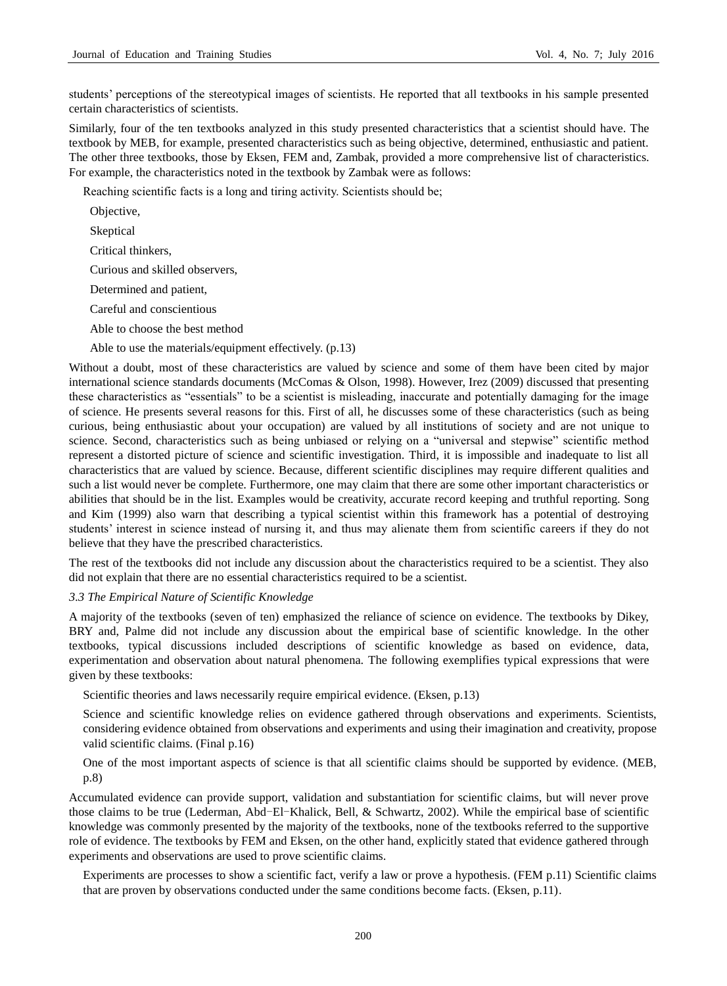students' perceptions of the stereotypical images of scientists. He reported that all textbooks in his sample presented certain characteristics of scientists.

Similarly, four of the ten textbooks analyzed in this study presented characteristics that a scientist should have. The textbook by MEB, for example, presented characteristics such as being objective, determined, enthusiastic and patient. The other three textbooks, those by Eksen, FEM and, Zambak, provided a more comprehensive list of characteristics. For example, the characteristics noted in the textbook by Zambak were as follows:

Reaching scientific facts is a long and tiring activity. Scientists should be;

Objective,

Skeptical

Critical thinkers,

Curious and skilled observers,

Determined and patient,

Careful and conscientious

Able to choose the best method

Able to use the materials/equipment effectively. (p.13)

Without a doubt, most of these characteristics are valued by science and some of them have been cited by major international science standards documents (McComas & Olson, 1998). However, Irez (2009) discussed that presenting these characteristics as "essentials" to be a scientist is misleading, inaccurate and potentially damaging for the image of science. He presents several reasons for this. First of all, he discusses some of these characteristics (such as being curious, being enthusiastic about your occupation) are valued by all institutions of society and are not unique to science. Second, characteristics such as being unbiased or relying on a "universal and stepwise" scientific method represent a distorted picture of science and scientific investigation. Third, it is impossible and inadequate to list all characteristics that are valued by science. Because, different scientific disciplines may require different qualities and such a list would never be complete. Furthermore, one may claim that there are some other important characteristics or abilities that should be in the list. Examples would be creativity, accurate record keeping and truthful reporting. Song and Kim (1999) also warn that describing a typical scientist within this framework has a potential of destroying students' interest in science instead of nursing it, and thus may alienate them from scientific careers if they do not believe that they have the prescribed characteristics.

The rest of the textbooks did not include any discussion about the characteristics required to be a scientist. They also did not explain that there are no essential characteristics required to be a scientist.

### *3.3 The Empirical Nature of Scientific Knowledge*

A majority of the textbooks (seven of ten) emphasized the reliance of science on evidence. The textbooks by Dikey, BRY and, Palme did not include any discussion about the empirical base of scientific knowledge. In the other textbooks, typical discussions included descriptions of scientific knowledge as based on evidence, data, experimentation and observation about natural phenomena. The following exemplifies typical expressions that were given by these textbooks:

Scientific theories and laws necessarily require empirical evidence. (Eksen, p.13)

Science and scientific knowledge relies on evidence gathered through observations and experiments. Scientists, considering evidence obtained from observations and experiments and using their imagination and creativity, propose valid scientific claims. (Final p.16)

One of the most important aspects of science is that all scientific claims should be supported by evidence. (MEB, p.8)

Accumulated evidence can provide support, validation and substantiation for scientific claims, but will never prove those claims to be true (Lederman, Abd-El-Khalick, Bell, & Schwartz, 2002). While the empirical base of scientific knowledge was commonly presented by the majority of the textbooks, none of the textbooks referred to the supportive role of evidence. The textbooks by FEM and Eksen, on the other hand, explicitly stated that evidence gathered through experiments and observations are used to prove scientific claims.

Experiments are processes to show a scientific fact, verify a law or prove a hypothesis. (FEM p.11) Scientific claims that are proven by observations conducted under the same conditions become facts. (Eksen, p.11).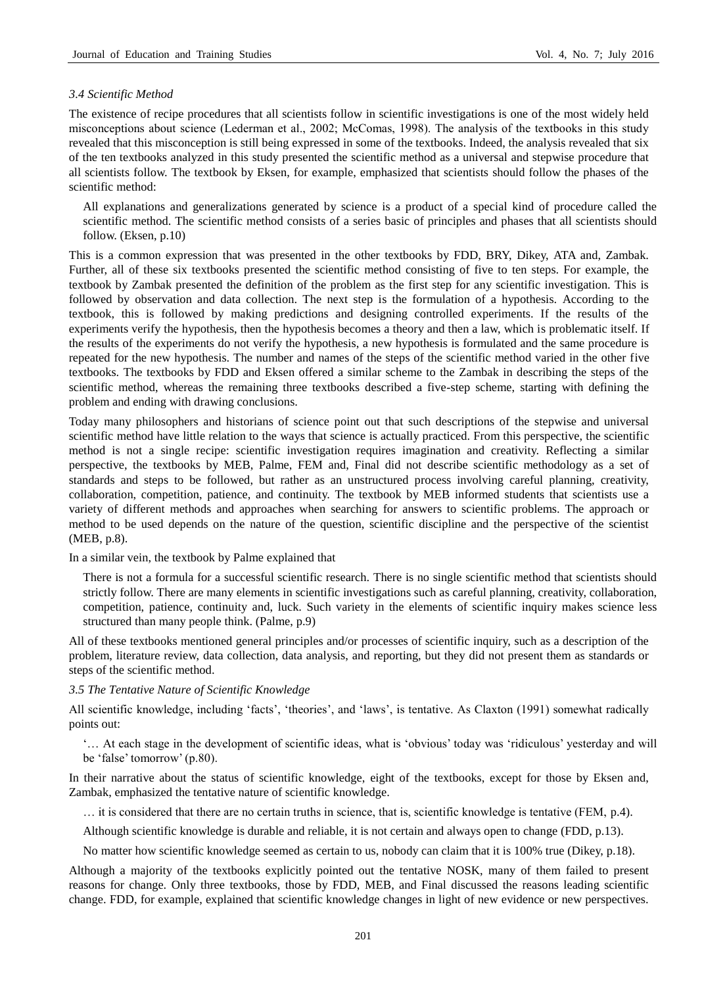#### *3.4 Scientific Method*

The existence of recipe procedures that all scientists follow in scientific investigations is one of the most widely held misconceptions about science (Lederman et al., 2002; McComas, 1998). The analysis of the textbooks in this study revealed that this misconception is still being expressed in some of the textbooks. Indeed, the analysis revealed that six of the ten textbooks analyzed in this study presented the scientific method as a universal and stepwise procedure that all scientists follow. The textbook by Eksen, for example, emphasized that scientists should follow the phases of the scientific method:

All explanations and generalizations generated by science is a product of a special kind of procedure called the scientific method. The scientific method consists of a series basic of principles and phases that all scientists should follow. (Eksen, p.10)

This is a common expression that was presented in the other textbooks by FDD, BRY, Dikey, ATA and, Zambak. Further, all of these six textbooks presented the scientific method consisting of five to ten steps. For example, the textbook by Zambak presented the definition of the problem as the first step for any scientific investigation. This is followed by observation and data collection. The next step is the formulation of a hypothesis. According to the textbook, this is followed by making predictions and designing controlled experiments. If the results of the experiments verify the hypothesis, then the hypothesis becomes a theory and then a law, which is problematic itself. If the results of the experiments do not verify the hypothesis, a new hypothesis is formulated and the same procedure is repeated for the new hypothesis. The number and names of the steps of the scientific method varied in the other five textbooks. The textbooks by FDD and Eksen offered a similar scheme to the Zambak in describing the steps of the scientific method, whereas the remaining three textbooks described a five-step scheme, starting with defining the problem and ending with drawing conclusions.

Today many philosophers and historians of science point out that such descriptions of the stepwise and universal scientific method have little relation to the ways that science is actually practiced. From this perspective, the scientific method is not a single recipe: scientific investigation requires imagination and creativity. Reflecting a similar perspective, the textbooks by MEB, Palme, FEM and, Final did not describe scientific methodology as a set of standards and steps to be followed, but rather as an unstructured process involving careful planning, creativity, collaboration, competition, patience, and continuity. The textbook by MEB informed students that scientists use a variety of different methods and approaches when searching for answers to scientific problems. The approach or method to be used depends on the nature of the question, scientific discipline and the perspective of the scientist (MEB, p.8).

In a similar vein, the textbook by Palme explained that

There is not a formula for a successful scientific research. There is no single scientific method that scientists should strictly follow. There are many elements in scientific investigations such as careful planning, creativity, collaboration, competition, patience, continuity and, luck. Such variety in the elements of scientific inquiry makes science less structured than many people think. (Palme, p.9)

All of these textbooks mentioned general principles and/or processes of scientific inquiry, such as a description of the problem, literature review, data collection, data analysis, and reporting, but they did not present them as standards or steps of the scientific method.

## *3.5 The Tentative Nature of Scientific Knowledge*

All scientific knowledge, including 'facts', 'theories', and 'laws', is tentative. As Claxton (1991) somewhat radically points out:

'… At each stage in the development of scientific ideas, what is 'obvious' today was 'ridiculous' yesterday and will be 'false' tomorrow' (p.80).

In their narrative about the status of scientific knowledge, eight of the textbooks, except for those by Eksen and, Zambak, emphasized the tentative nature of scientific knowledge.

… it is considered that there are no certain truths in science, that is, scientific knowledge is tentative (FEM, p.4).

Although scientific knowledge is durable and reliable, it is not certain and always open to change (FDD, p.13).

No matter how scientific knowledge seemed as certain to us, nobody can claim that it is 100% true (Dikey, p.18).

Although a majority of the textbooks explicitly pointed out the tentative NOSK, many of them failed to present reasons for change. Only three textbooks, those by FDD, MEB, and Final discussed the reasons leading scientific change. FDD, for example, explained that scientific knowledge changes in light of new evidence or new perspectives.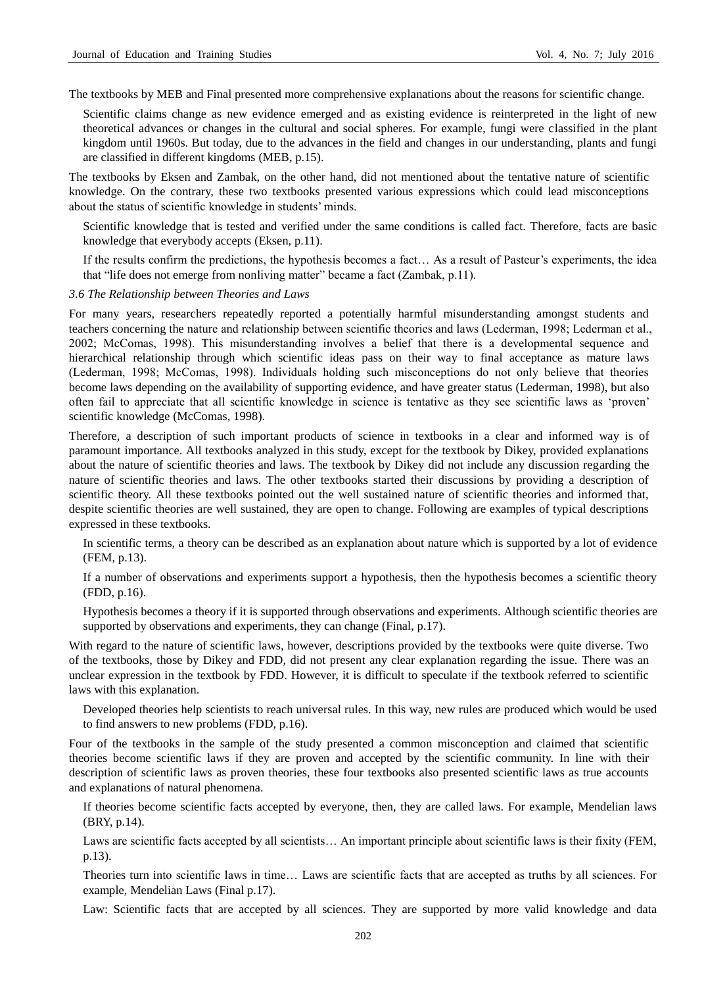The textbooks by MEB and Final presented more comprehensive explanations about the reasons for scientific change.

Scientific claims change as new evidence emerged and as existing evidence is reinterpreted in the light of new theoretical advances or changes in the cultural and social spheres. For example, fungi were classified in the plant kingdom until 1960s. But today, due to the advances in the field and changes in our understanding, plants and fungi are classified in different kingdoms (MEB, p.15).

The textbooks by Eksen and Zambak, on the other hand, did not mentioned about the tentative nature of scientific knowledge. On the contrary, these two textbooks presented various expressions which could lead misconceptions about the status of scientific knowledge in students' minds.

Scientific knowledge that is tested and verified under the same conditions is called fact. Therefore, facts are basic knowledge that everybody accepts (Eksen, p.11).

If the results confirm the predictions, the hypothesis becomes a fact… As a result of Pasteur's experiments, the idea that "life does not emerge from nonliving matter" became a fact (Zambak, p.11).

#### *3.6 The Relationship between Theories and Laws*

For many years, researchers repeatedly reported a potentially harmful misunderstanding amongst students and teachers concerning the nature and relationship between scientific theories and laws (Lederman, 1998; Lederman et al., 2002; McComas, 1998). This misunderstanding involves a belief that there is a developmental sequence and hierarchical relationship through which scientific ideas pass on their way to final acceptance as mature laws (Lederman, 1998; McComas, 1998). Individuals holding such misconceptions do not only believe that theories become laws depending on the availability of supporting evidence, and have greater status (Lederman, 1998), but also often fail to appreciate that all scientific knowledge in science is tentative as they see scientific laws as 'proven' scientific knowledge (McComas, 1998).

Therefore, a description of such important products of science in textbooks in a clear and informed way is of paramount importance. All textbooks analyzed in this study, except for the textbook by Dikey, provided explanations about the nature of scientific theories and laws. The textbook by Dikey did not include any discussion regarding the nature of scientific theories and laws. The other textbooks started their discussions by providing a description of scientific theory. All these textbooks pointed out the well sustained nature of scientific theories and informed that, despite scientific theories are well sustained, they are open to change. Following are examples of typical descriptions expressed in these textbooks.

In scientific terms, a theory can be described as an explanation about nature which is supported by a lot of evidence (FEM, p.13).

If a number of observations and experiments support a hypothesis, then the hypothesis becomes a scientific theory (FDD, p.16).

Hypothesis becomes a theory if it is supported through observations and experiments. Although scientific theories are supported by observations and experiments, they can change (Final, p.17).

With regard to the nature of scientific laws, however, descriptions provided by the textbooks were quite diverse. Two of the textbooks, those by Dikey and FDD, did not present any clear explanation regarding the issue. There was an unclear expression in the textbook by FDD. However, it is difficult to speculate if the textbook referred to scientific laws with this explanation.

Developed theories help scientists to reach universal rules. In this way, new rules are produced which would be used to find answers to new problems (FDD, p.16).

Four of the textbooks in the sample of the study presented a common misconception and claimed that scientific theories become scientific laws if they are proven and accepted by the scientific community. In line with their description of scientific laws as proven theories, these four textbooks also presented scientific laws as true accounts and explanations of natural phenomena.

If theories become scientific facts accepted by everyone, then, they are called laws. For example, Mendelian laws (BRY, p.14).

Laws are scientific facts accepted by all scientists… An important principle about scientific laws is their fixity (FEM, p.13).

Theories turn into scientific laws in time… Laws are scientific facts that are accepted as truths by all sciences. For example, Mendelian Laws (Final p.17).

Law: Scientific facts that are accepted by all sciences. They are supported by more valid knowledge and data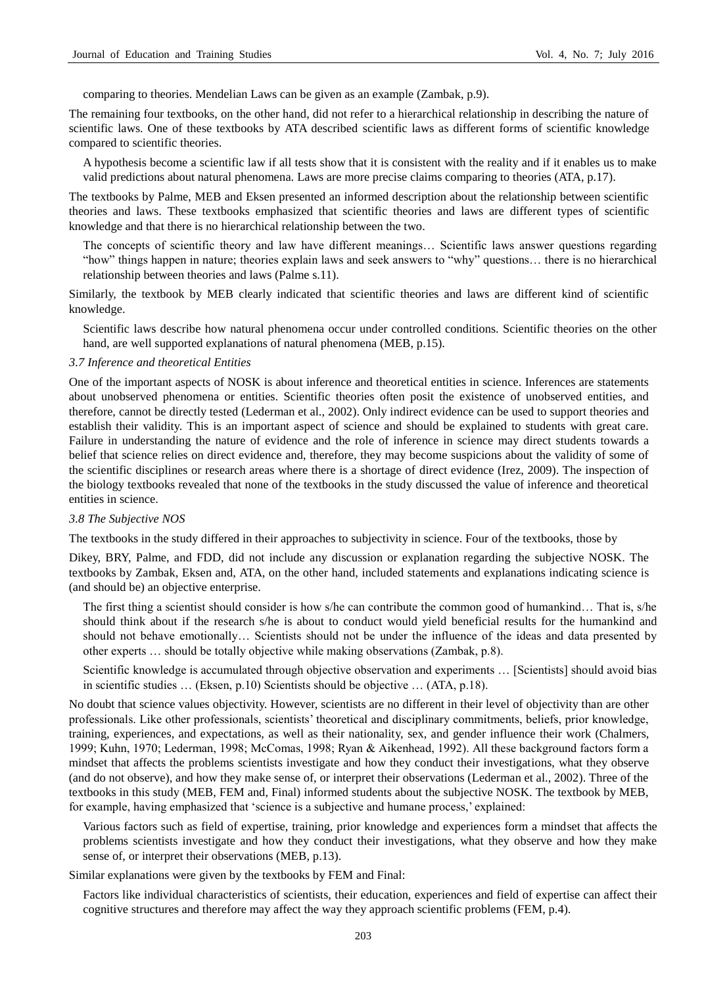comparing to theories. Mendelian Laws can be given as an example (Zambak, p.9).

The remaining four textbooks, on the other hand, did not refer to a hierarchical relationship in describing the nature of scientific laws. One of these textbooks by ATA described scientific laws as different forms of scientific knowledge compared to scientific theories.

A hypothesis become a scientific law if all tests show that it is consistent with the reality and if it enables us to make valid predictions about natural phenomena. Laws are more precise claims comparing to theories (ATA, p.17).

The textbooks by Palme, MEB and Eksen presented an informed description about the relationship between scientific theories and laws. These textbooks emphasized that scientific theories and laws are different types of scientific knowledge and that there is no hierarchical relationship between the two.

The concepts of scientific theory and law have different meanings… Scientific laws answer questions regarding "how" things happen in nature; theories explain laws and seek answers to "why" questions… there is no hierarchical relationship between theories and laws (Palme s.11).

Similarly, the textbook by MEB clearly indicated that scientific theories and laws are different kind of scientific knowledge.

Scientific laws describe how natural phenomena occur under controlled conditions. Scientific theories on the other hand, are well supported explanations of natural phenomena (MEB, p.15).

#### *3.7 Inference and theoretical Entities*

One of the important aspects of NOSK is about inference and theoretical entities in science. Inferences are statements about unobserved phenomena or entities. Scientific theories often posit the existence of unobserved entities, and therefore, cannot be directly tested (Lederman et al., 2002). Only indirect evidence can be used to support theories and establish their validity. This is an important aspect of science and should be explained to students with great care. Failure in understanding the nature of evidence and the role of inference in science may direct students towards a belief that science relies on direct evidence and, therefore, they may become suspicions about the validity of some of the scientific disciplines or research areas where there is a shortage of direct evidence (Irez, 2009). The inspection of the biology textbooks revealed that none of the textbooks in the study discussed the value of inference and theoretical entities in science.

#### *3.8 The Subjective NOS*

The textbooks in the study differed in their approaches to subjectivity in science. Four of the textbooks, those by

Dikey, BRY, Palme, and FDD, did not include any discussion or explanation regarding the subjective NOSK. The textbooks by Zambak, Eksen and, ATA, on the other hand, included statements and explanations indicating science is (and should be) an objective enterprise.

The first thing a scientist should consider is how s/he can contribute the common good of humankind… That is, s/he should think about if the research s/he is about to conduct would yield beneficial results for the humankind and should not behave emotionally… Scientists should not be under the influence of the ideas and data presented by other experts … should be totally objective while making observations (Zambak, p.8).

Scientific knowledge is accumulated through objective observation and experiments … [Scientists] should avoid bias in scientific studies … (Eksen, p.10) Scientists should be objective … (ATA, p.18).

No doubt that science values objectivity. However, scientists are no different in their level of objectivity than are other professionals. Like other professionals, scientists' theoretical and disciplinary commitments, beliefs, prior knowledge, training, experiences, and expectations, as well as their nationality, sex, and gender influence their work (Chalmers, 1999; Kuhn, 1970; Lederman, 1998; McComas, 1998; Ryan & Aikenhead, 1992). All these background factors form a mindset that affects the problems scientists investigate and how they conduct their investigations, what they observe (and do not observe), and how they make sense of, or interpret their observations (Lederman et al., 2002). Three of the textbooks in this study (MEB, FEM and, Final) informed students about the subjective NOSK. The textbook by MEB, for example, having emphasized that 'science is a subjective and humane process,' explained:

Various factors such as field of expertise, training, prior knowledge and experiences form a mindset that affects the problems scientists investigate and how they conduct their investigations, what they observe and how they make sense of, or interpret their observations (MEB, p.13).

Similar explanations were given by the textbooks by FEM and Final:

Factors like individual characteristics of scientists, their education, experiences and field of expertise can affect their cognitive structures and therefore may affect the way they approach scientific problems (FEM, p.4).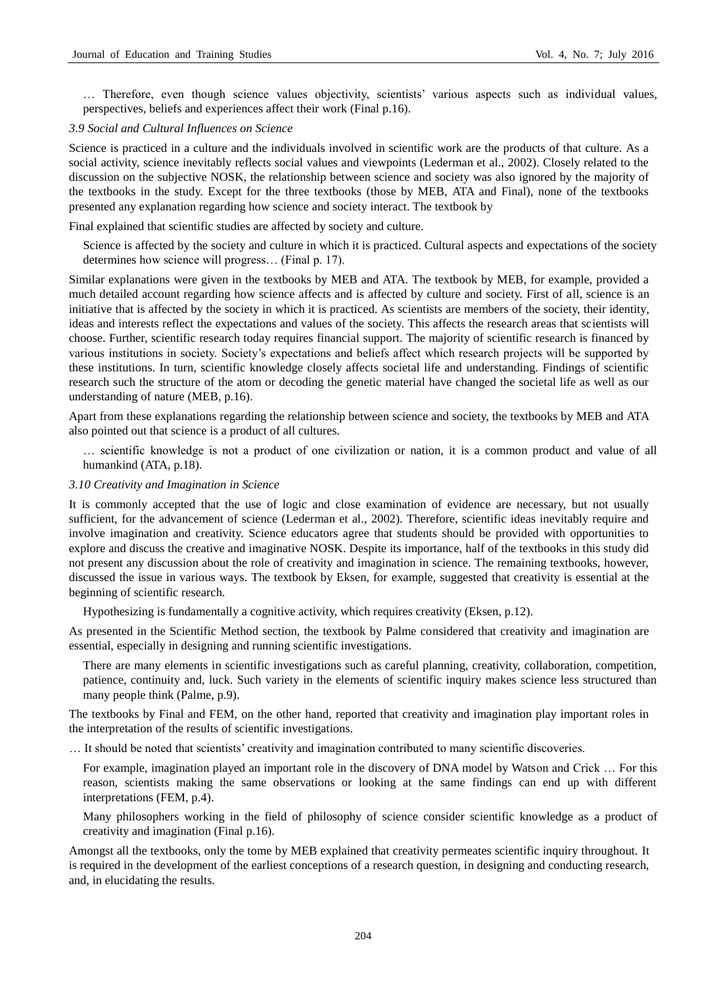… Therefore, even though science values objectivity, scientists' various aspects such as individual values, perspectives, beliefs and experiences affect their work (Final p.16).

#### *3.9 Social and Cultural Influences on Science*

Science is practiced in a culture and the individuals involved in scientific work are the products of that culture. As a social activity, science inevitably reflects social values and viewpoints (Lederman et al., 2002). Closely related to the discussion on the subjective NOSK, the relationship between science and society was also ignored by the majority of the textbooks in the study. Except for the three textbooks (those by MEB, ATA and Final), none of the textbooks presented any explanation regarding how science and society interact. The textbook by

Final explained that scientific studies are affected by society and culture.

Science is affected by the society and culture in which it is practiced. Cultural aspects and expectations of the society determines how science will progress… (Final p. 17).

Similar explanations were given in the textbooks by MEB and ATA. The textbook by MEB, for example, provided a much detailed account regarding how science affects and is affected by culture and society. First of all, science is an initiative that is affected by the society in which it is practiced. As scientists are members of the society, their identity, ideas and interests reflect the expectations and values of the society. This affects the research areas that scientists will choose. Further, scientific research today requires financial support. The majority of scientific research is financed by various institutions in society. Society's expectations and beliefs affect which research projects will be supported by these institutions. In turn, scientific knowledge closely affects societal life and understanding. Findings of scientific research such the structure of the atom or decoding the genetic material have changed the societal life as well as our understanding of nature (MEB, p.16).

Apart from these explanations regarding the relationship between science and society, the textbooks by MEB and ATA also pointed out that science is a product of all cultures.

… scientific knowledge is not a product of one civilization or nation, it is a common product and value of all humankind (ATA, p.18).

# *3.10 Creativity and Imagination in Science*

It is commonly accepted that the use of logic and close examination of evidence are necessary, but not usually sufficient, for the advancement of science (Lederman et al., 2002). Therefore, scientific ideas inevitably require and involve imagination and creativity. Science educators agree that students should be provided with opportunities to explore and discuss the creative and imaginative NOSK. Despite its importance, half of the textbooks in this study did not present any discussion about the role of creativity and imagination in science. The remaining textbooks, however, discussed the issue in various ways. The textbook by Eksen, for example, suggested that creativity is essential at the beginning of scientific research.

Hypothesizing is fundamentally a cognitive activity, which requires creativity (Eksen, p.12).

As presented in the Scientific Method section, the textbook by Palme considered that creativity and imagination are essential, especially in designing and running scientific investigations.

There are many elements in scientific investigations such as careful planning, creativity, collaboration, competition, patience, continuity and, luck. Such variety in the elements of scientific inquiry makes science less structured than many people think (Palme, p.9).

The textbooks by Final and FEM, on the other hand, reported that creativity and imagination play important roles in the interpretation of the results of scientific investigations.

… It should be noted that scientists' creativity and imagination contributed to many scientific discoveries.

For example, imagination played an important role in the discovery of DNA model by Watson and Crick … For this reason, scientists making the same observations or looking at the same findings can end up with different interpretations (FEM, p.4).

Many philosophers working in the field of philosophy of science consider scientific knowledge as a product of creativity and imagination (Final p.16).

Amongst all the textbooks, only the tome by MEB explained that creativity permeates scientific inquiry throughout. It is required in the development of the earliest conceptions of a research question, in designing and conducting research, and, in elucidating the results.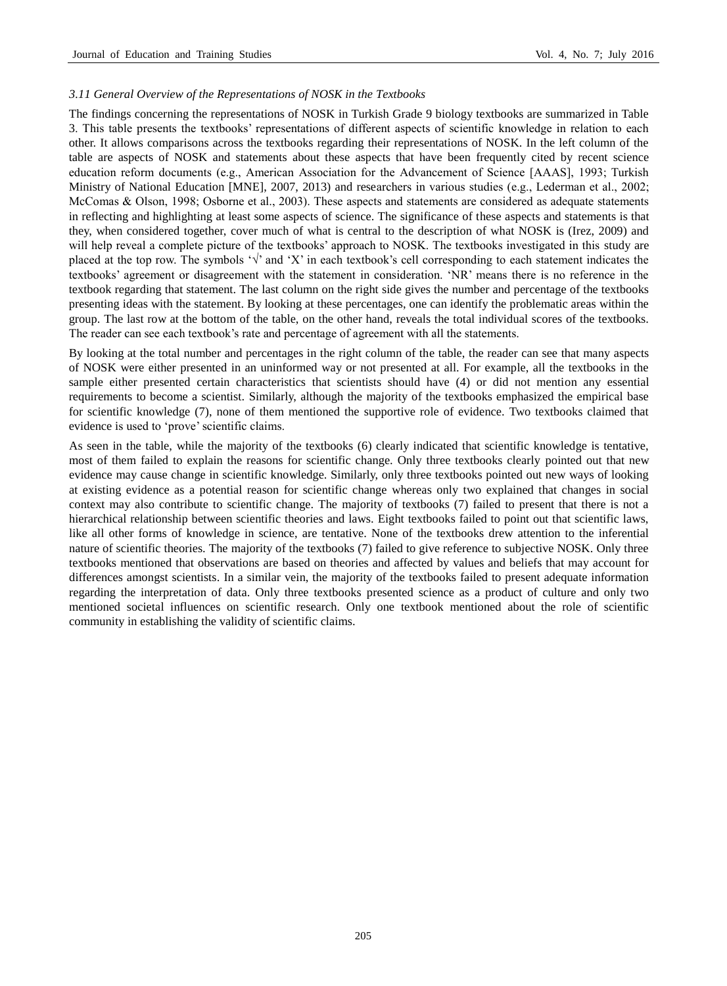## *3.11 General Overview of the Representations of NOSK in the Textbooks*

The findings concerning the representations of NOSK in Turkish Grade 9 biology textbooks are summarized in Table 3. This table presents the textbooks' representations of different aspects of scientific knowledge in relation to each other. It allows comparisons across the textbooks regarding their representations of NOSK. In the left column of the table are aspects of NOSK and statements about these aspects that have been frequently cited by recent science education reform documents (e.g., American Association for the Advancement of Science [AAAS], 1993; Turkish Ministry of National Education [MNE], 2007, 2013) and researchers in various studies (e.g., Lederman et al., 2002; McComas & Olson, 1998; Osborne et al., 2003). These aspects and statements are considered as adequate statements in reflecting and highlighting at least some aspects of science. The significance of these aspects and statements is that they, when considered together, cover much of what is central to the description of what NOSK is (Irez, 2009) and will help reveal a complete picture of the textbooks' approach to NOSK. The textbooks investigated in this study are placed at the top row. The symbols ' $\sqrt{$ ' and 'X' in each textbook's cell corresponding to each statement indicates the textbooks' agreement or disagreement with the statement in consideration. 'NR' means there is no reference in the textbook regarding that statement. The last column on the right side gives the number and percentage of the textbooks presenting ideas with the statement. By looking at these percentages, one can identify the problematic areas within the group. The last row at the bottom of the table, on the other hand, reveals the total individual scores of the textbooks. The reader can see each textbook's rate and percentage of agreement with all the statements.

By looking at the total number and percentages in the right column of the table, the reader can see that many aspects of NOSK were either presented in an uninformed way or not presented at all. For example, all the textbooks in the sample either presented certain characteristics that scientists should have (4) or did not mention any essential requirements to become a scientist. Similarly, although the majority of the textbooks emphasized the empirical base for scientific knowledge (7), none of them mentioned the supportive role of evidence. Two textbooks claimed that evidence is used to 'prove' scientific claims.

As seen in the table, while the majority of the textbooks (6) clearly indicated that scientific knowledge is tentative, most of them failed to explain the reasons for scientific change. Only three textbooks clearly pointed out that new evidence may cause change in scientific knowledge. Similarly, only three textbooks pointed out new ways of looking at existing evidence as a potential reason for scientific change whereas only two explained that changes in social context may also contribute to scientific change. The majority of textbooks (7) failed to present that there is not a hierarchical relationship between scientific theories and laws. Eight textbooks failed to point out that scientific laws, like all other forms of knowledge in science, are tentative. None of the textbooks drew attention to the inferential nature of scientific theories. The majority of the textbooks (7) failed to give reference to subjective NOSK. Only three textbooks mentioned that observations are based on theories and affected by values and beliefs that may account for differences amongst scientists. In a similar vein, the majority of the textbooks failed to present adequate information regarding the interpretation of data. Only three textbooks presented science as a product of culture and only two mentioned societal influences on scientific research. Only one textbook mentioned about the role of scientific community in establishing the validity of scientific claims.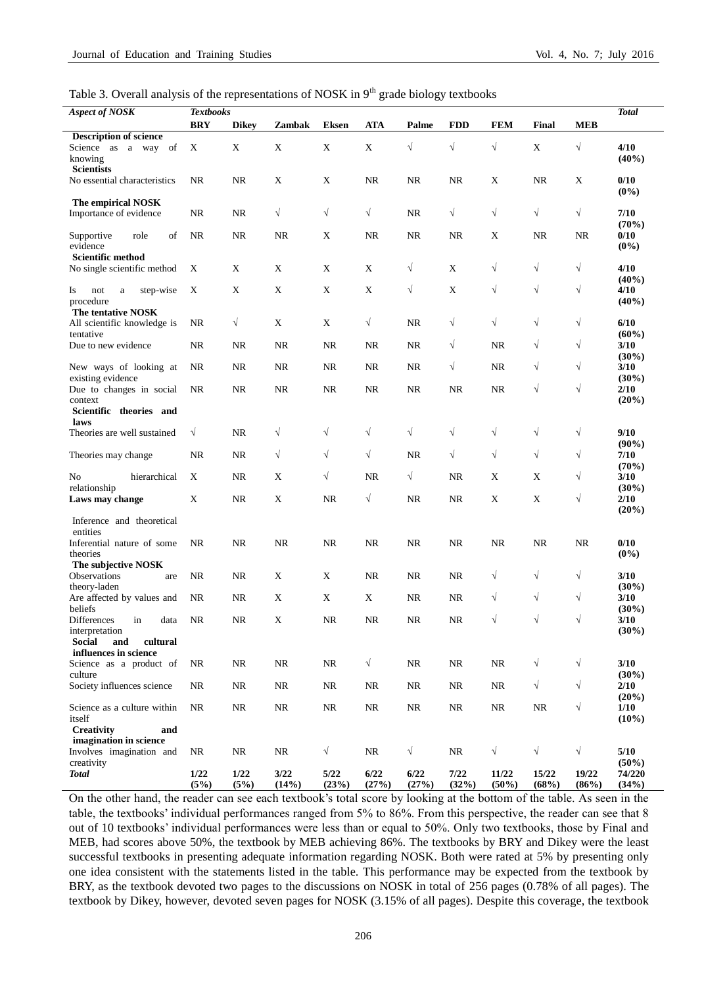Table 3. Overall analysis of the representations of NOSK in  $9<sup>th</sup>$  grade biology textbooks

| <b>Aspect of NOSK</b>                                                                | <b>Textbooks</b> |              |               |               |               |               |               |                |                |                | <b>Total</b>              |
|--------------------------------------------------------------------------------------|------------------|--------------|---------------|---------------|---------------|---------------|---------------|----------------|----------------|----------------|---------------------------|
|                                                                                      | <b>BRY</b>       | <b>Dikey</b> | Zambak        | <b>Eksen</b>  | <b>ATA</b>    | Palme         | <b>FDD</b>    | <b>FEM</b>     | Final          | <b>MEB</b>     |                           |
| <b>Description of science</b><br>Science as a way of<br>knowing<br><b>Scientists</b> | X                | $\mathbf X$  | $\mathbf X$   | $\mathbf X$   | $\mathbf X$   | $\sqrt{}$     | $\sqrt{}$     | $\sqrt{}$      | $\mathbf X$    | $\sqrt{}$      | 4/10<br>$(40\%)$          |
| No essential characteristics                                                         | <b>NR</b>        | <b>NR</b>    | $\mathbf X$   | X             | <b>NR</b>     | <b>NR</b>     | <b>NR</b>     | X              | <b>NR</b>      | X              | 0/10<br>$(0\%)$           |
| The empirical NOSK<br>Importance of evidence                                         | <b>NR</b>        | <b>NR</b>    | $\sqrt{}$     | $\sqrt{}$     | $\sqrt{}$     | <b>NR</b>     | $\sqrt{}$     | $\sqrt{}$      | $\sqrt{}$      | $\sqrt{}$      | 7/10<br>(70%)             |
| of<br>role<br>Supportive<br>evidence<br><b>Scientific method</b>                     | NR               | <b>NR</b>    | NR            | X             | NR            | NR            | <b>NR</b>     | X              | <b>NR</b>      | $\rm NR$       | 0/10<br>$(0\%)$           |
| No single scientific method                                                          | X                | X            | $\mathbf X$   | X             | X             | $\sqrt{}$     | X             | $\sqrt{}$      | $\sqrt{}$      | $\sqrt{ }$     | 4/10<br>$(40\%)$          |
| step-wise<br>Is<br>not<br>$\mathbf{a}$<br>procedure                                  | X                | X            | $\mathbf X$   | $\mathbf X$   | X             | $\sqrt{}$     | $\mathbf X$   | $\sqrt{}$      | $\sqrt{}$      | $\sqrt{}$      | 4/10<br>$(40\%)$          |
| The tentative NOSK<br>All scientific knowledge is<br>tentative                       | <b>NR</b>        | $\sqrt{}$    | X             | X             | $\sqrt{}$     | <b>NR</b>     | $\sqrt{}$     | $\sqrt{}$      | $\sqrt{}$      | $\sqrt{ }$     | 6/10<br>$(60\%)$          |
| Due to new evidence                                                                  | <b>NR</b>        | <b>NR</b>    | <b>NR</b>     | <b>NR</b>     | <b>NR</b>     | <b>NR</b>     | $\sqrt{}$     | <b>NR</b>      | $\sqrt{}$      | $\sqrt{ }$     | 3/10<br>$(30\%)$          |
| New ways of looking at<br>existing evidence                                          | NR               | <b>NR</b>    | <b>NR</b>     | NR            | NR            | <b>NR</b>     | $\sqrt{}$     | <b>NR</b>      | $\sqrt{}$      | $\sqrt{ }$     | 3/10<br>$(30\%)$          |
| Due to changes in social<br>context                                                  | <b>NR</b>        | <b>NR</b>    | <b>NR</b>     | <b>NR</b>     | NR            | <b>NR</b>     | <b>NR</b>     | <b>NR</b>      | $\sqrt{}$      | $\sqrt{ }$     | 2/10<br>(20%)             |
| Scientific theories and<br>laws<br>Theories are well sustained                       | $\sqrt{}$        | <b>NR</b>    | $\sqrt{}$     | $\sqrt{}$     | $\sqrt{}$     | $\sqrt{}$     | $\sqrt{}$     | $\sqrt{}$      | $\sqrt{}$      | $\sqrt{ }$     | 9/10                      |
| Theories may change                                                                  | NR               | <b>NR</b>    | $\sqrt{}$     | $\sqrt{}$     | $\sqrt{}$     | NR            | $\sqrt{}$     | $\sqrt{}$      | $\sqrt{}$      | $\sqrt{ }$     | $(90\%)$<br>7/10          |
| No<br>hierarchical                                                                   | X                | <b>NR</b>    | X             | $\sqrt{}$     | <b>NR</b>     | $\sqrt{2}$    | <b>NR</b>     | X              | X              | $\sqrt{ }$     | (70%)<br>3/10             |
| relationship<br>Laws may change                                                      | X                | <b>NR</b>    | X             | <b>NR</b>     | $\sqrt{}$     | <b>NR</b>     | <b>NR</b>     | $\mathbf X$    | X              | $\sqrt{}$      | $(30\%)$<br>2/10<br>(20%) |
| Inference and theoretical<br>entities                                                |                  |              |               |               |               |               |               |                |                |                |                           |
| Inferential nature of some<br>theories                                               | <b>NR</b>        | <b>NR</b>    | NR            | $\rm NR$      | NR            | NR            | <b>NR</b>     | NR             | <b>NR</b>      | $\rm NR$       | 0/10<br>$(0\%)$           |
| The subjective NOSK<br>Observations<br>are<br>theory-laden                           | <b>NR</b>        | <b>NR</b>    | $\mathbf X$   | X             | <b>NR</b>     | <b>NR</b>     | <b>NR</b>     | $\sqrt{}$      | $\sqrt{}$      | $\sqrt{ }$     | 3/10<br>$(30\%)$          |
| Are affected by values and<br>beliefs                                                | <b>NR</b>        | NR.          | X             | $\mathbf X$   | X             | <b>NR</b>     | <b>NR</b>     | $\sqrt{}$      | $\sqrt{}$      | $\sqrt{ }$     | 3/10<br>$(30\%)$          |
| in<br>Differences<br>data<br>interpretation                                          | <b>NR</b>        | <b>NR</b>    | $\mathbf X$   | <b>NR</b>     | <b>NR</b>     | <b>NR</b>     | <b>NR</b>     | $\sqrt{}$      | $\sqrt{}$      | $\sqrt{}$      | 3/10<br>$(30\%)$          |
| Social<br>cultural<br>and<br>influences in science<br>Science as a product of        | NR               | NR           | NR            | NR            | √             | NR            | NR            | NR             | $\sqrt{}$      | $\sqrt{}$      | 3/10                      |
| culture<br>Society influences science                                                | NR               | NR           | $\rm NR$      | NR            | $\rm NR$      | NR            | NR            | NR             | $\sqrt{ }$     | $\sqrt{}$      | $(30\%)$<br>2/10          |
| Science as a culture within                                                          | NR               | NR           | $\rm NR$      | $\rm NR$      | $\rm NR$      | $\rm NR$      | $\rm NR$      | $\rm NR$       | NR             | $\sqrt{}$      | $(20\%)$<br>1/10          |
| itself<br><b>Creativity</b><br>and<br>imagination in science                         |                  |              |               |               |               |               |               |                |                |                | $(10\%)$                  |
| Involves imagination and<br>creativity                                               | NR               | NR           | $\rm NR$      | $\sqrt{}$     | $\rm NR$      | $\sqrt{ }$    | NR            | $\sqrt{}$      | $\sqrt{}$      | $\sqrt{}$      | 5/10<br>$(50\%)$          |
| <b>Total</b>                                                                         | 1/22<br>(5%)     | 1/22<br>(5%) | 3/22<br>(14%) | 5/22<br>(23%) | 6/22<br>(27%) | 6/22<br>(27%) | 7/22<br>(32%) | 11/22<br>(50%) | 15/22<br>(68%) | 19/22<br>(86%) | 74/220<br>(34%)           |

On the other hand, the reader can see each textbook's total score by looking at the bottom of the table. As seen in the table, the textbooks' individual performances ranged from 5% to 86%. From this perspective, the reader can see that 8 out of 10 textbooks' individual performances were less than or equal to 50%. Only two textbooks, those by Final and MEB, had scores above 50%, the textbook by MEB achieving 86%. The textbooks by BRY and Dikey were the least successful textbooks in presenting adequate information regarding NOSK. Both were rated at 5% by presenting only one idea consistent with the statements listed in the table. This performance may be expected from the textbook by BRY, as the textbook devoted two pages to the discussions on NOSK in total of 256 pages (0.78% of all pages). The textbook by Dikey, however, devoted seven pages for NOSK (3.15% of all pages). Despite this coverage, the textbook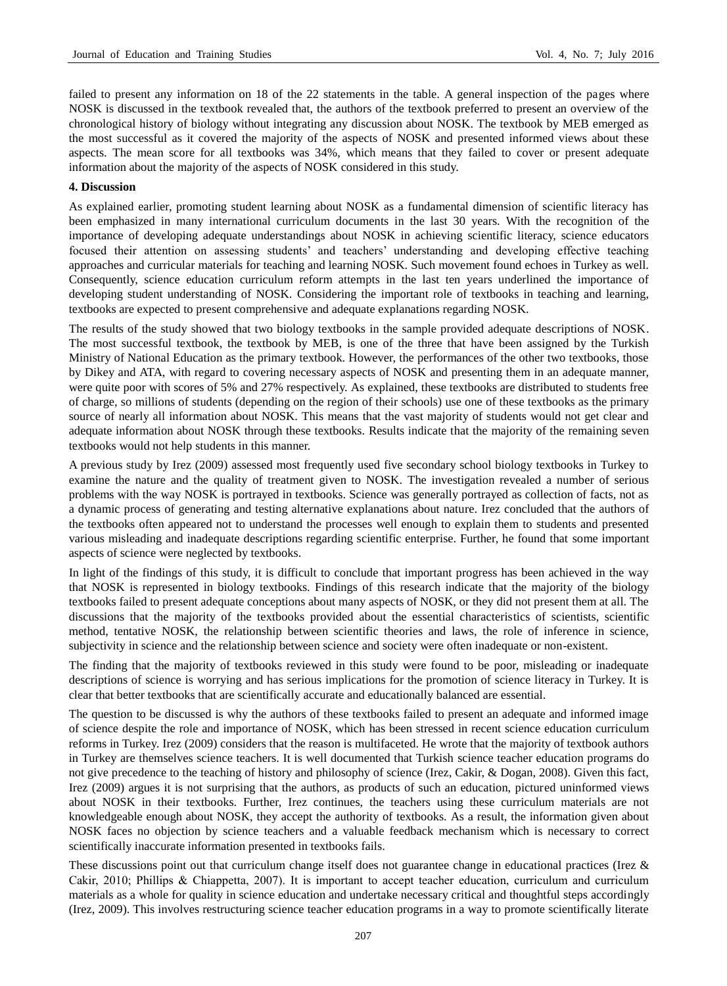failed to present any information on 18 of the 22 statements in the table. A general inspection of the pages where NOSK is discussed in the textbook revealed that, the authors of the textbook preferred to present an overview of the chronological history of biology without integrating any discussion about NOSK. The textbook by MEB emerged as the most successful as it covered the majority of the aspects of NOSK and presented informed views about these aspects. The mean score for all textbooks was 34%, which means that they failed to cover or present adequate information about the majority of the aspects of NOSK considered in this study.

## **4. Discussion**

As explained earlier, promoting student learning about NOSK as a fundamental dimension of scientific literacy has been emphasized in many international curriculum documents in the last 30 years. With the recognition of the importance of developing adequate understandings about NOSK in achieving scientific literacy, science educators focused their attention on assessing students' and teachers' understanding and developing effective teaching approaches and curricular materials for teaching and learning NOSK. Such movement found echoes in Turkey as well. Consequently, science education curriculum reform attempts in the last ten years underlined the importance of developing student understanding of NOSK. Considering the important role of textbooks in teaching and learning, textbooks are expected to present comprehensive and adequate explanations regarding NOSK.

The results of the study showed that two biology textbooks in the sample provided adequate descriptions of NOSK. The most successful textbook, the textbook by MEB, is one of the three that have been assigned by the Turkish Ministry of National Education as the primary textbook. However, the performances of the other two textbooks, those by Dikey and ATA, with regard to covering necessary aspects of NOSK and presenting them in an adequate manner, were quite poor with scores of 5% and 27% respectively. As explained, these textbooks are distributed to students free of charge, so millions of students (depending on the region of their schools) use one of these textbooks as the primary source of nearly all information about NOSK. This means that the vast majority of students would not get clear and adequate information about NOSK through these textbooks. Results indicate that the majority of the remaining seven textbooks would not help students in this manner.

A previous study by Irez (2009) assessed most frequently used five secondary school biology textbooks in Turkey to examine the nature and the quality of treatment given to NOSK. The investigation revealed a number of serious problems with the way NOSK is portrayed in textbooks. Science was generally portrayed as collection of facts, not as a dynamic process of generating and testing alternative explanations about nature. Irez concluded that the authors of the textbooks often appeared not to understand the processes well enough to explain them to students and presented various misleading and inadequate descriptions regarding scientific enterprise. Further, he found that some important aspects of science were neglected by textbooks.

In light of the findings of this study, it is difficult to conclude that important progress has been achieved in the way that NOSK is represented in biology textbooks. Findings of this research indicate that the majority of the biology textbooks failed to present adequate conceptions about many aspects of NOSK, or they did not present them at all. The discussions that the majority of the textbooks provided about the essential characteristics of scientists, scientific method, tentative NOSK, the relationship between scientific theories and laws, the role of inference in science, subjectivity in science and the relationship between science and society were often inadequate or non-existent.

The finding that the majority of textbooks reviewed in this study were found to be poor, misleading or inadequate descriptions of science is worrying and has serious implications for the promotion of science literacy in Turkey. It is clear that better textbooks that are scientifically accurate and educationally balanced are essential.

The question to be discussed is why the authors of these textbooks failed to present an adequate and informed image of science despite the role and importance of NOSK, which has been stressed in recent science education curriculum reforms in Turkey. Irez (2009) considers that the reason is multifaceted. He wrote that the majority of textbook authors in Turkey are themselves science teachers. It is well documented that Turkish science teacher education programs do not give precedence to the teaching of history and philosophy of science (Irez, Cakir, & Dogan, 2008). Given this fact, Irez (2009) argues it is not surprising that the authors, as products of such an education, pictured uninformed views about NOSK in their textbooks. Further, Irez continues, the teachers using these curriculum materials are not knowledgeable enough about NOSK, they accept the authority of textbooks. As a result, the information given about NOSK faces no objection by science teachers and a valuable feedback mechanism which is necessary to correct scientifically inaccurate information presented in textbooks fails.

These discussions point out that curriculum change itself does not guarantee change in educational practices (Irez & Cakir, 2010; Phillips & Chiappetta, 2007). It is important to accept teacher education, curriculum and curriculum materials as a whole for quality in science education and undertake necessary critical and thoughtful steps accordingly (Irez, 2009). This involves restructuring science teacher education programs in a way to promote scientifically literate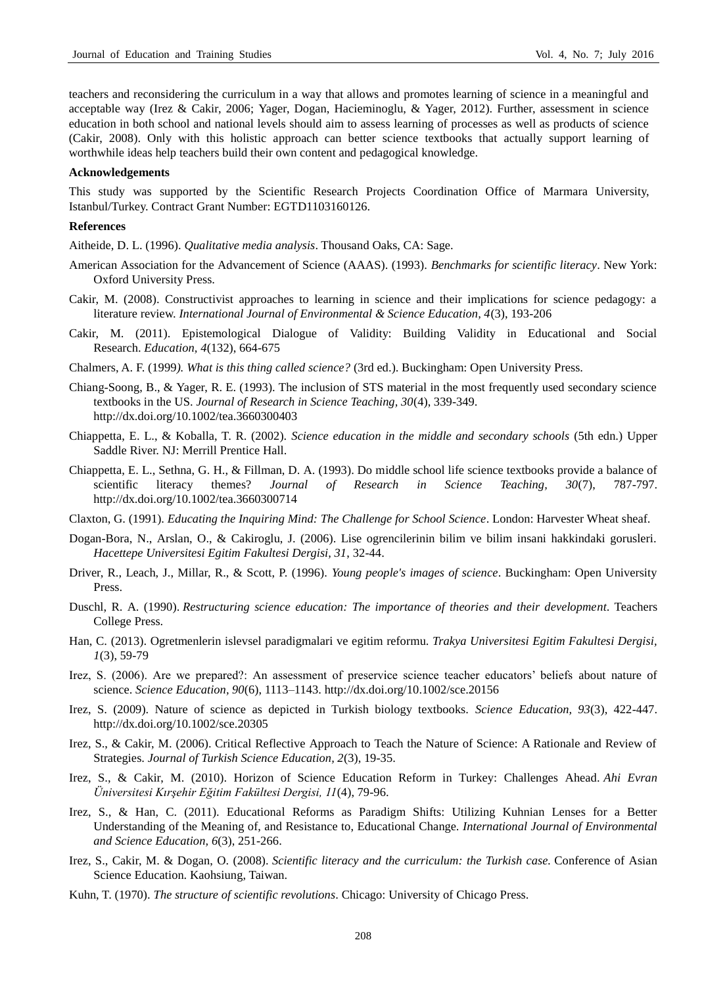teachers and reconsidering the curriculum in a way that allows and promotes learning of science in a meaningful and acceptable way (Irez & Cakir, 2006; Yager, Dogan, Hacieminoglu, & Yager, 2012). Further, assessment in science education in both school and national levels should aim to assess learning of processes as well as products of science (Cakir, 2008). Only with this holistic approach can better science textbooks that actually support learning of worthwhile ideas help teachers build their own content and pedagogical knowledge.

#### **Acknowledgements**

This study was supported by the Scientific Research Projects Coordination Office of Marmara University, Istanbul/Turkey. Contract Grant Number: EGTD1103160126.

## **References**

Aitheide, D. L. (1996). *Qualitative media analysis*. Thousand Oaks, CA: Sage.

- American Association for the Advancement of Science (AAAS). (1993). *Benchmarks for scientific literacy*. New York: Oxford University Press.
- Cakir, M. (2008). Constructivist approaches to learning in science and their implications for science pedagogy: a literature review. *International Journal of Environmental & Science Education, 4*(3), 193-206
- Cakir, M. (2011). Epistemological Dialogue of Validity: Building Validity in Educational and Social Research. *Education, 4*(132), 664-675
- Chalmers, A. F. (1999*). What is this thing called science?* (3rd ed.). Buckingham: Open University Press.
- Chiang-Soong, B., & Yager, R. E. (1993). The inclusion of STS material in the most frequently used secondary science textbooks in the US. *Journal of Research in Science Teaching, 30*(4), 339-349. <http://dx.doi.org/10.1002/tea.3660300403>
- Chiappetta, E. L., & Koballa, T. R. (2002). *Science education in the middle and secondary schools* (5th edn.) Upper Saddle River. NJ: Merrill Prentice Hall.
- Chiappetta, E. L., Sethna, G. H., & Fillman, D. A. (1993). Do middle school life science textbooks provide a balance of scientific literacy themes? *Journal of Research in Science Teaching, 30*(7), 787-797. <http://dx.doi.org/10.1002/tea.3660300714>
- Claxton, G. (1991). *Educating the Inquiring Mind: The Challenge for School Science*. London: Harvester Wheat sheaf.
- Dogan-Bora, N., Arslan, O., & Cakiroglu, J. (2006). Lise ogrencilerinin bilim ve bilim insani hakkindaki gorusleri. *Hacettepe Universitesi Egitim Fakultesi Dergisi, 31*, 32-44.
- Driver, R., Leach, J., Millar, R., & Scott, P. (1996). *Young people's images of science*. Buckingham: Open University Press.
- Duschl, R. A. (1990). *Restructuring science education: The importance of theories and their development*. Teachers College Press.
- Han, C. (2013). Ogretmenlerin islevsel paradigmalari ve egitim reformu. *Trakya Universitesi Egitim Fakultesi Dergisi, 1*(3), 59-79
- Irez, S. (2006). Are we prepared?: An assessment of preservice science teacher educators' beliefs about nature of science. *Science Education, 90*(6), 1113–1143.<http://dx.doi.org/10.1002/sce.20156>
- Irez, S. (2009). Nature of science as depicted in Turkish biology textbooks. *Science Education, 93*(3), 422-447. <http://dx.doi.org/10.1002/sce.20305>
- Irez, S., & Cakir, M. (2006). Critical Reflective Approach to Teach the Nature of Science: A Rationale and Review of Strategies. *Journal of Turkish Science Education, 2*(3), 19-35.
- Irez, S., & Cakir, M. (2010). Horizon of Science Education Reform in Turkey: Challenges Ahead. *Ahi Evran Üniversitesi Kırşehir Eğitim Fakültesi Dergisi, 11*(4), 79-96.
- Irez, S., & Han, C. (2011). Educational Reforms as Paradigm Shifts: Utilizing Kuhnian Lenses for a Better Understanding of the Meaning of, and Resistance to, Educational Change. *International Journal of Environmental and Science Education, 6*(3), 251-266.
- Irez, S., Cakir, M. & Dogan, O. (2008). *Scientific literacy and the curriculum: the Turkish case.* Conference of Asian Science Education. Kaohsiung, Taiwan.
- Kuhn, T. (1970). *The structure of scientific revolutions*. Chicago: University of Chicago Press.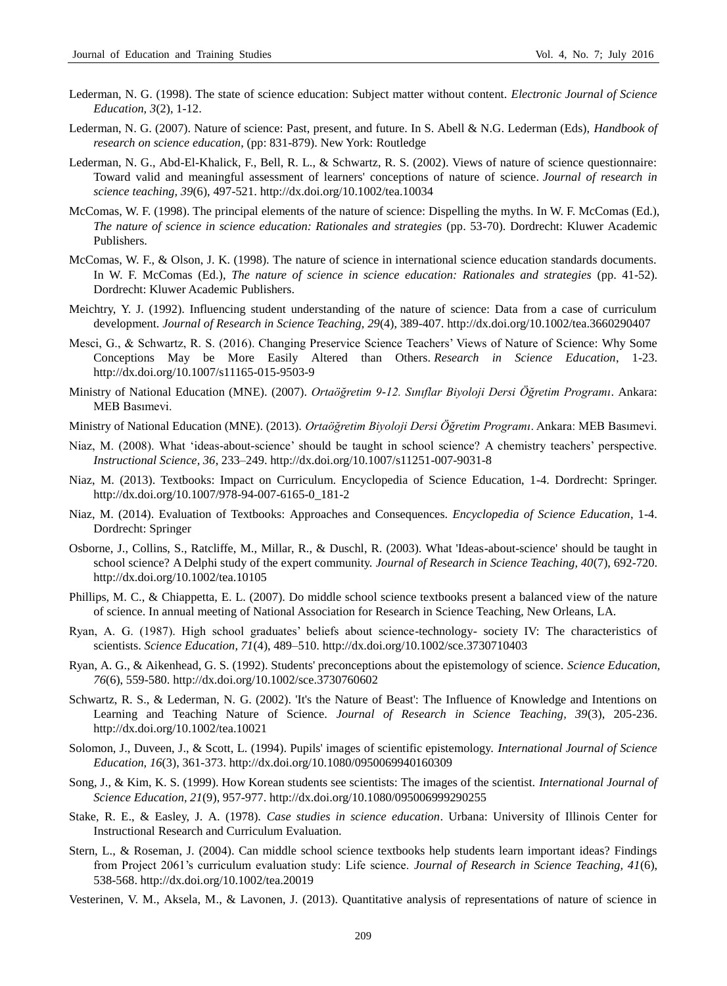- Lederman, N. G. (1998). The state of science education: Subject matter without content. *Electronic Journal of Science Education, 3*(2), 1-12.
- Lederman, N. G. (2007). Nature of science: Past, present, and future. In S. Abell & N.G. Lederman (Eds), *Handbook of research on science education*, (pp: 831-879). New York: Routledge
- Lederman, N. G., Abd-El-Khalick, F., Bell, R. L., & Schwartz, R. S. (2002). Views of nature of science questionnaire: Toward valid and meaningful assessment of learners' conceptions of nature of science. *Journal of research in science teaching, 39*(6), 497-521.<http://dx.doi.org/10.1002/tea.10034>
- McComas, W. F. (1998). The principal elements of the nature of science: Dispelling the myths. In W. F. McComas (Ed.), *The nature of science in science education: Rationales and strategies* (pp. 53-70). Dordrecht: Kluwer Academic Publishers.
- McComas, W. F., & Olson, J. K. (1998). The nature of science in international science education standards documents. In W. F. McComas (Ed.), *The nature of science in science education: Rationales and strategies* (pp. 41-52). Dordrecht: Kluwer Academic Publishers.
- Meichtry, Y. J. (1992). Influencing student understanding of the nature of science: Data from a case of curriculum development. *Journal of Research in Science Teaching, 29*(4), 389-407.<http://dx.doi.org/10.1002/tea.3660290407>
- Mesci, G., & Schwartz, R. S. (2016). Changing Preservice Science Teachers' Views of Nature of Science: Why Some Conceptions May be More Easily Altered than Others. *Research in Science Education*, 1-23. <http://dx.doi.org/10.1007/s11165-015-9503-9>
- Ministry of National Education (MNE). (2007). *Ortaöğretim 9-12. Sınıflar Biyoloji Dersi Öğretim Programı*. Ankara: MEB Basımevi.
- Ministry of National Education (MNE). (2013). *Ortaöğretim Biyoloji Dersi Öğretim Programı*. Ankara: MEB Basımevi.
- Niaz, M. (2008). What 'ideas-about-science' should be taught in school science? A chemistry teachers' perspective. *Instructional Science, 36*, 233–249[. http://dx.doi.org/10.1007/s11251-007-9031-8](http://dx.doi.org/10.1007/s11251-007-9031-8)
- Niaz, M. (2013). Textbooks: Impact on Curriculum. Encyclopedia of Science Education, 1-4. Dordrecht: Springer. [http://dx.doi.org/10.1007/978-94-007-6165-0\\_181-2](http://dx.doi.org/10.1007/978-94-007-6165-0_181-2)
- Niaz, M. (2014). Evaluation of Textbooks: Approaches and Consequences. *Encyclopedia of Science Education*, 1-4. Dordrecht: Springer
- Osborne, J., Collins, S., Ratcliffe, M., Millar, R., & Duschl, R. (2003). What 'Ideas-about-science' should be taught in school science? A Delphi study of the expert community. *Journal of Research in Science Teaching, 40*(7), 692-720. <http://dx.doi.org/10.1002/tea.10105>
- Phillips, M. C., & Chiappetta, E. L. (2007). Do middle school science textbooks present a balanced view of the nature of science. In annual meeting of National Association for Research in Science Teaching, New Orleans, LA.
- Ryan, A. G. (1987). High school graduates' beliefs about science-technology- society IV: The characteristics of scientists. *Science Education, 71*(4), 489–510.<http://dx.doi.org/10.1002/sce.3730710403>
- Ryan, A. G., & Aikenhead, G. S. (1992). Students' preconceptions about the epistemology of science. *Science Education, 76*(6), 559-580[. http://dx.doi.org/10.1002/sce.3730760602](http://dx.doi.org/10.1002/sce.3730760602)
- Schwartz, R. S., & Lederman, N. G. (2002). 'It's the Nature of Beast': The Influence of Knowledge and Intentions on Learning and Teaching Nature of Science. *Journal of Research in Science Teaching, 39*(3), 205-236. <http://dx.doi.org/10.1002/tea.10021>
- Solomon, J., Duveen, J., & Scott, L. (1994). Pupils' images of scientific epistemology. *International Journal of Science Education, 16*(3), 361-373.<http://dx.doi.org/10.1080/0950069940160309>
- Song, J., & Kim, K. S. (1999). How Korean students see scientists: The images of the scientist. *International Journal of Science Education, 21*(9), 957-977.<http://dx.doi.org/10.1080/095006999290255>
- Stake, R. E., & Easley, J. A. (1978). *Case studies in science education*. Urbana: University of Illinois Center for Instructional Research and Curriculum Evaluation.
- Stern, L., & Roseman, J. (2004). Can middle school science textbooks help students learn important ideas? Findings from Project 2061's curriculum evaluation study: Life science. *Journal of Research in Science Teaching, 41*(6), 538-568.<http://dx.doi.org/10.1002/tea.20019>
- Vesterinen, V. M., Aksela, M., & Lavonen, J. (2013). Quantitative analysis of representations of nature of science in